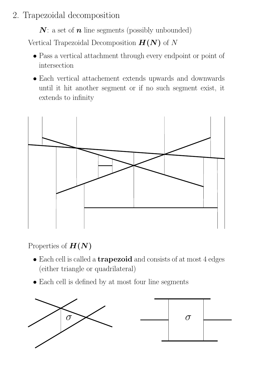# 2. Trapezoidal decomposition

 $N:$  a set of  $n$  line segments (possibly unbounded)

Vertical Trapezoidal Decomposition  $H(N)$  of N

- Pass a vertical attachment through every endpoint or point of intersection
- Each vertical attachement extends upwards and downwards until it hit another segment or if no such segment exist, it extends to infinity



Properties of  $H(N)$ 

- Each cell is called a **trapezoid** and consists of at most 4 edges (either triangle or quadrilateral)
- Each cell is defined by at most four line segments

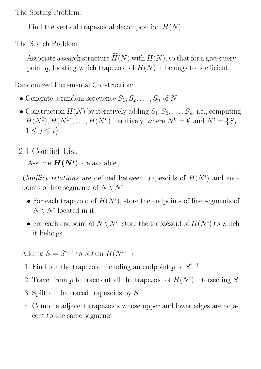The Sorting Problem:

Find the vertical trapezoidal decomposition  $H(N)$ 

The Search Problem:

Associate a search structure  $\widetilde{H}(N)$  with  $H(N)$ , so that for a give query point q, locating which trapezoid of  $H(N)$  it belongs to is efficient

Randomized Incremental Construction:

- Generate a random sequence  $S_1, S_2, \ldots, S_n$  of N
- Construction  $H(N)$  by iteratively adding  $S_1, S_2, \ldots, S_n$ , i.e., computing  $H(N^0), H(N^1), \ldots, H(N^n)$  iteratively, where  $N^0 = \emptyset$  and  $N^i = \{S_j \mid$  $1 \leq j \leq i$

## 2.1 Conflict List

Assume  $H(N^i)$  are avaiable

Conflict relations are defined between trapezoids of  $H(N<sup>i</sup>)$  and endpoints of line segments of  $N \setminus N^i$ 

- For each trapezoid of  $H(N^i)$ , store the endpoints of line segments of  $N \setminus N^i$  located in it
- For each endpoint of  $N \setminus N^i$ , store the trapzezoid of  $H(N^i)$  to which it belongs

Adding  $S = S^{i+1}$  to obtain  $H(N^{i+1})$ 

- 1. Find out the trapezoid including an endpoint p of  $S^{i+1}$
- 2. Travel from p to trace out all the trapezoid of  $H(N^i)$  intersecting S
- 3. Spilt all the traced trapezoids by S
- 4. Combine adjacent trapezoids whose upper and lower edges are adjacent to the same segments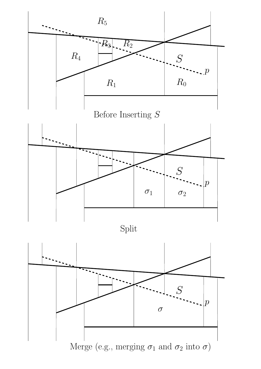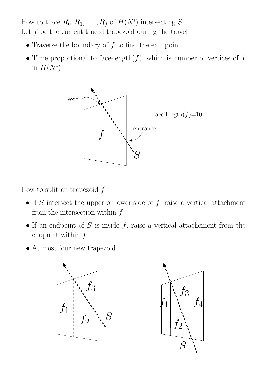How to trace  $R_0, R_1, \ldots, R_j$  of  $H(N^i)$  intersecting S Let  $f$  be the current traced trapezoid during the travel

- Traverse the boundary of  $f$  to find the exit point
- Time proportional to face-length $(f)$ , which is number of vertices of  $f$ in  $H(N^i)$



How to split an trapezoid  $f$ 

- If S intersect the upper or lower side of  $f$ , raise a vertical attachment from the intersection within  $f$
- If an endpoint of  $S$  is inside  $f$ , raise a vertical attachement from the endpoint within  $f$
- At most four new trapezoid



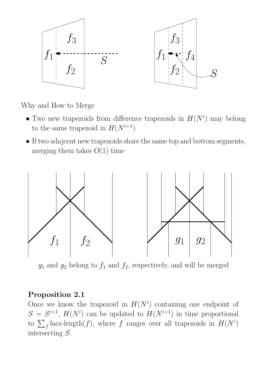

Why and How to Merge

- Two new trapezoids from difference trapezoids in  $H(N<sup>i</sup>)$  may belong to the same trapezoid in  $H(N^{i+1})$
- If two adajcent new trapezoids share the same top and bottom segments, merging them takes  $O(1)$  time



 $g_1$  and  $g_2$  belong to  $f_1$  and  $f_2$ , respectively, and will be merged

#### Proposition 2.1

Once we know the trapezoid in  $H(N^i)$  containing one endpoint of  $S = S^{i+1}$ ,  $H(N^i)$  can be updated to  $H(N^{i+1})$  in time proportional to  $\sum_{f}$  face-length(f), where f ranges over all trapezoids in  $H(N<sup>i</sup>)$ intersecting S.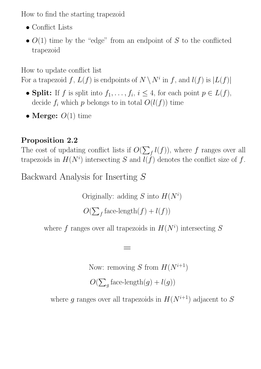How to find the starting trapezoid

- Conflict Lists
- $O(1)$  time by the "edge" from an endpoint of S to the conflicted trapezoid

How to update conflict list

For a trapezoid f,  $L(f)$  is endpoints of  $N \setminus N^i$  in f, and  $l(f)$  is  $|L(f)|$ 

- Split: If f is split into  $f_1, \ldots, f_i, i \leq 4$ , for each point  $p \in L(f)$ , decide  $f_i$  which p belongs to in total  $O(l(f))$  time
- Merge:  $O(1)$  time

### Proposition 2.2

The cost of updating conflict lists if  $O(\sum_f l(f))$ , where f ranges over all trapezoids in  $H(N^i)$  intersecting S and  $l(f)$  denotes the conflict size of f.

Backward Analysis for Inserting S

Originally: adding S into  $H(N^i)$ 

 $O(\sum_f \text{face-length}(f) + l(f))$ 

=

where f ranges over all trapezoids in  $H(N^i)$  intersecting S

Now: removing S from  $H(N^{i+1})$ 

 $O(\sum_g \text{face-length}(g) + l(g))$ 

where g ranges over all trapezoids in  $H(N^{i+1})$  adjacent to S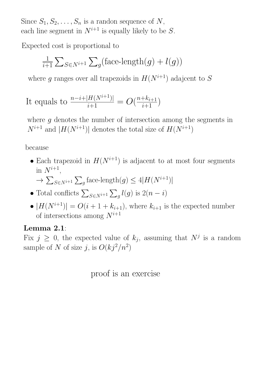Since  $S_1, S_2, \ldots, S_n$  is a randon sequence of N, each line segment in  $N^{i+1}$  is equally likely to be S.

Expected cost is proportional to

$$
\frac{1}{i+1} \sum_{S \in N^{i+1}} \sum_{g} \left( \text{face-length}(g) + l(g) \right)
$$

where g ranges over all trapezoids in  $H(N^{i+1})$  adajcent to S

It equals to 
$$
\frac{n-i+|H(N^{i+1})|}{i+1} = O(\frac{n+k_{i+1}}{i+1})
$$

where  $q$  denotes the number of intersection among the segments in  $N^{i+1}$  and  $|H(N^{i+1})|$  denotes the total size of  $H(N^{i+1})$ 

because

• Each trapezoid in  $H(N^{i+1})$  is adjacent to at most four segments in  $N^{i+1}$ ,

$$
\to \sum_{S \in N^{i+1}} \sum_{g} \text{face-length}(g) \le 4|H(N^{i+1})|
$$

- Total conflicts  $\sum_{S \in N^{i+1}} \sum_{g} l(g)$  is  $2(n-i)$
- $|H(N^{i+1})| = O(i+1+k_{i+1})$ , where  $k_{i+1}$  is the expected number of intersections among  $N^{i+1}$

#### Lemma 2.1:

Fix  $j \geq 0$ , the expected value of  $k_j$ , assuming that  $N^j$  is a random sample of N of size j, is  $O(kj^2/n^2)$ 

#### proof is an exercise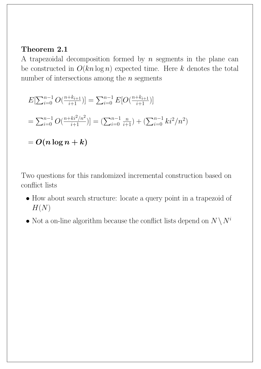### Theorem 2.1

A trapezoidal decomposition formed by  $n$  segments in the plane can be constructed in  $O(kn \log n)$  expected time. Here k denotes the total number of intersections among the  $n$  segments

$$
E[\sum_{i=0}^{n-1} O(\frac{n+k_{i+1}}{i+1})] = \sum_{i=0}^{n-1} E[O(\frac{n+k_{i+1}}{i+1})]
$$
  
=  $\sum_{i=0}^{n-1} O(\frac{n+k_i^2/n^2}{i+1}) = (\sum_{i=0}^{n-1} \frac{n}{i+1}) + (\sum_{i=0}^{n-1} ki^2/n^2)$   
= ***O***(*n* log *n* + *k*)

Two questions for this randomized incremental construction based on conflict lists

- How about search structure: locate a query point in a trapezoid of  $H(N)$
- Not a on-line algorithm because the conflict lists depend on  $N \setminus N^i$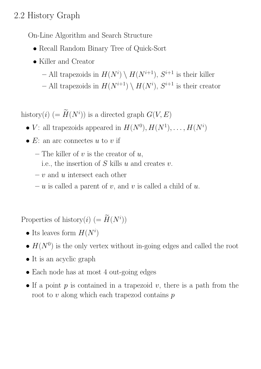## 2.2 History Graph

On-Line Algorithm and Search Structure

- Recall Random Binary Tree of Quick-Sort
- Killer and Creator
	- All trapezoids in  $H(N^i) \setminus H(N^{i+1}), S^{i+1}$  is their killer
	- All trapezoids in  $H(N^{i+1}) \setminus H(N^i)$ ,  $S^{i+1}$  is their creator

history(*i*) (=  $\hat{H}(N^i)$ ) is a directed graph  $G(V, E)$ 

- V: all trapezoids appeared in  $H(N^0), H(N^1), \ldots, H(N^i)$
- $E$ : an arc connectes u to v if
	- The killer of  $v$  is the creator of  $u$ ,
		- i.e., the insertion of  $S$  kills  $u$  and creates  $v$ .
	- $-v$  and u intersect each other
	- u is called a parent of v, and v is called a child of u.

Properties of history(*i*)  $(= \tilde{H}(N^i))$ 

- Its leaves form  $H(N^i)$
- $H(N^0)$  is the only vertex without in-going edges and called the root
- It is an acyclic graph
- Each node has at most 4 out-going edges
- If a point  $p$  is contained in a trapezoid  $v$ , there is a path from the root to  $v$  along which each trapezod contains  $p$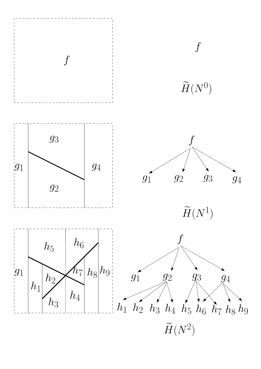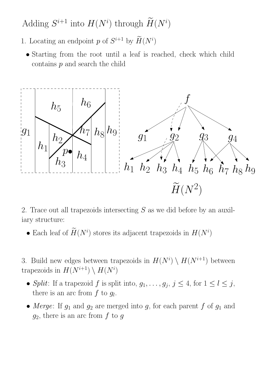Adding  $S^{i+1}$  into  $H(N^i)$  through  $H(N^i)$ 

- 1. Locating an endpoint p of  $S^{i+1}$  by  $H(N^i)$ 
	- Starting from the root until a leaf is reached, check which child contains  $p$  and search the child



2. Trace out all trapezoids intersecting S as we did before by an auxiliary structure:

• Each leaf of  $H(N^i)$  stores its adjacent trapezoids in  $H(N^i)$ 

3. Build new edges between trapezoids in  $H(N^i) \setminus H(N^{i+1})$  between trapezoids in  $H(N^{i+1}) \setminus H(N^i)$ 

- Split: If a trapezoid f is split into,  $g_1, \ldots, g_j, j \leq 4$ , for  $1 \leq l \leq j$ , there is an arc from  $f$  to  $g_l$ .
- Merge: If  $g_1$  and  $g_2$  are merged into g, for each parent f of  $g_1$  and  $g_2$ , there is an arc from f to g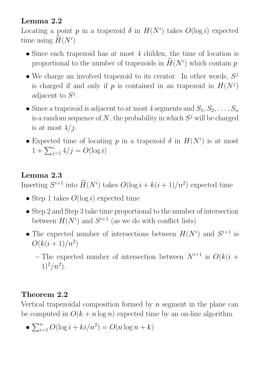### Lemma 2.2

Locating a point p in a trapezoid  $\delta$  in  $H(N^i)$  takes  $O(\log i)$  expected time using  $H(N^i)$ 

- Since each trapezoid has at most 4 childen, the time of location is proportional to the number of trapezoids in  $H(N<sup>i</sup>)$  which contain p
- We charge an involved trapezoid to its creator. In other words,  $S^j$ is charged if and only if p is contained in an trapezoid in  $H(N^j)$ adjacent to  $S^j$ .
- Since a trapezoid is adjacent to at most 4 segments and  $S_1, S_2, \ldots, S_n$ is a random sequence of  $N$ , the probability in which  $S<sup>j</sup>$  will be charged is at most  $4/j$ .
- Expected time of locating p in a trapezoid  $\delta$  in  $H(N^i)$  is at most  $1 + \sum_{j=1}^{i} 4/j = O(\log i)$

### Lemma 2.3

Inserting  $S^{i+1}$  into  $H(N^i)$  takes  $O(\log i + k(i+1)/n^2)$  expected time

- Step 1 takes  $O(\log i)$  expected time
- Step 2 and Step 3 take time proportional to the number of intersection between  $H(N^i)$  and  $S^{i+1}$  (as we do with conflict lists)
- The expected number of intersections between  $H(N^i)$  and  $S^{i+1}$  is  $O(k(i+1)/n^2)$

– The expected number of intersection between  $N^{i+1}$  is  $O(k(i +$  $1)^2/n^2$ ).

### Theorem 2.2

Vertical trapezoidal composition formed by  $n$  segment in the plane can be computed in  $O(k + n \log n)$  expected time by an on-line algorithm

•  $\sum_{i=1}^{n} O(\log i + ki/n^2) = O(n \log n + k)$